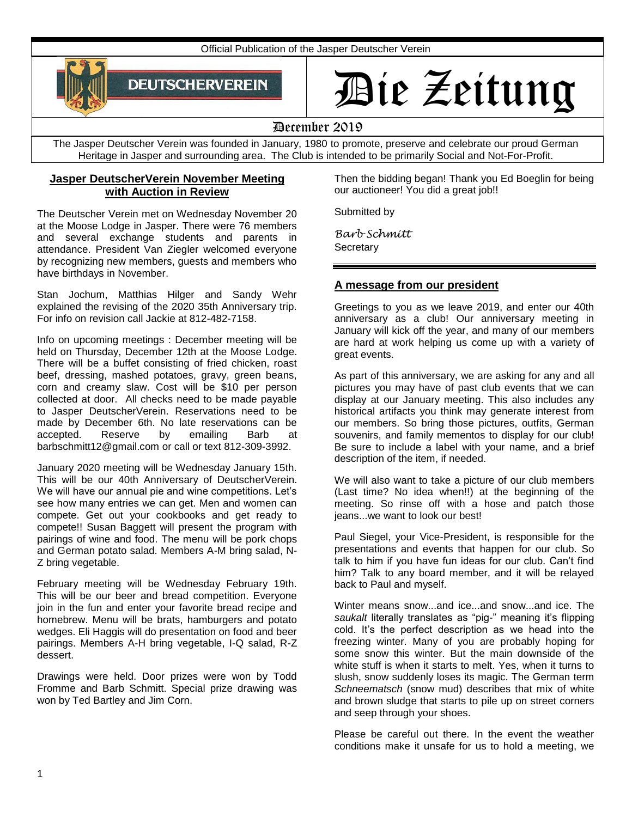Official Publication of the Jasper Deutscher Verein



# Die Zeitung

# December 2019

The Jasper Deutscher Verein was founded in January, 1980 to promote, preserve and celebrate our proud German Heritage in Jasper and surrounding area. The Club is intended to be primarily Social and Not-For-Profit.

# **Jasper DeutscherVerein November Meeting with Auction in Review**

The Deutscher Verein met on Wednesday November 20 at the Moose Lodge in Jasper. There were 76 members and several exchange students and parents in attendance. President Van Ziegler welcomed everyone by recognizing new members, guests and members who have birthdays in November.

Stan Jochum, Matthias Hilger and Sandy Wehr explained the revising of the 2020 35th Anniversary trip. For info on revision call Jackie at 812-482-7158.

Info on upcoming meetings : December meeting will be held on Thursday, December 12th at the Moose Lodge. There will be a buffet consisting of fried chicken, roast beef, dressing, mashed potatoes, gravy, green beans, corn and creamy slaw. Cost will be \$10 per person collected at door. All checks need to be made payable to Jasper DeutscherVerein. Reservations need to be made by December 6th. No late reservations can be accepted. Reserve by emailing Barb at barbschmitt12@gmail.com or call or text 812-309-3992.

January 2020 meeting will be Wednesday January 15th. This will be our 40th Anniversary of DeutscherVerein. We will have our annual pie and wine competitions. Let's see how many entries we can get. Men and women can compete. Get out your cookbooks and get ready to compete!! Susan Baggett will present the program with pairings of wine and food. The menu will be pork chops and German potato salad. Members A-M bring salad, N-Z bring vegetable.

February meeting will be Wednesday February 19th. This will be our beer and bread competition. Everyone join in the fun and enter your favorite bread recipe and homebrew. Menu will be brats, hamburgers and potato wedges. Eli Haggis will do presentation on food and beer pairings. Members A-H bring vegetable, I-Q salad, R-Z dessert.

Drawings were held. Door prizes were won by Todd Fromme and Barb Schmitt. Special prize drawing was won by Ted Bartley and Jim Corn.

Then the bidding began! Thank you Ed Boeglin for being our auctioneer! You did a great job!!

Submitted by

*Barb Schmitt*  **Secretary** 

# **A message from our president**

Greetings to you as we leave 2019, and enter our 40th anniversary as a club! Our anniversary meeting in January will kick off the year, and many of our members are hard at work helping us come up with a variety of great events.

As part of this anniversary, we are asking for any and all pictures you may have of past club events that we can display at our January meeting. This also includes any historical artifacts you think may generate interest from our members. So bring those pictures, outfits, German souvenirs, and family mementos to display for our club! Be sure to include a label with your name, and a brief description of the item, if needed.

We will also want to take a picture of our club members (Last time? No idea when!!) at the beginning of the meeting. So rinse off with a hose and patch those jeans...we want to look our best!

Paul Siegel, your Vice-President, is responsible for the presentations and events that happen for our club. So talk to him if you have fun ideas for our club. Can't find him? Talk to any board member, and it will be relayed back to Paul and myself.

Winter means snow...and ice...and snow...and ice. The *saukalt* literally translates as "pig-" meaning it's flipping cold. It's the perfect description as we head into the freezing winter. Many of you are probably hoping for some snow this winter. But the main downside of the white stuff is when it starts to melt. Yes, when it turns to slush, snow suddenly loses its magic. The German term *Schneematsch* (snow mud) describes that mix of white and brown sludge that starts to pile up on street corners and seep through your shoes.

Please be careful out there. In the event the weather conditions make it unsafe for us to hold a meeting, we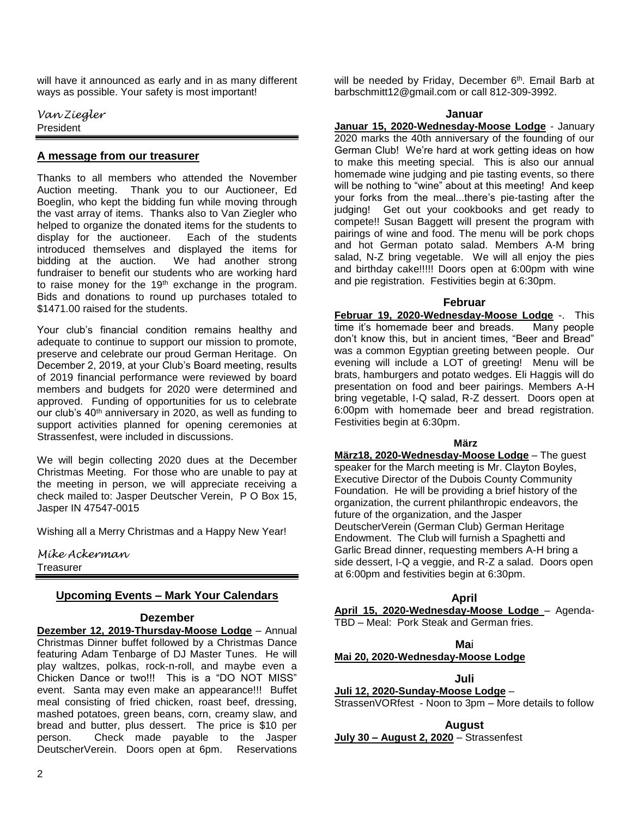will have it announced as early and in as many different ways as possible. Your safety is most important!

*Van Ziegler* President

# **A message from our treasurer**

Thanks to all members who attended the November Auction meeting. Thank you to our Auctioneer, Ed Boeglin, who kept the bidding fun while moving through the vast array of items. Thanks also to Van Ziegler who helped to organize the donated items for the students to display for the auctioneer. Each of the students introduced themselves and displayed the items for bidding at the auction. We had another strong fundraiser to benefit our students who are working hard to raise money for the 19<sup>th</sup> exchange in the program. Bids and donations to round up purchases totaled to \$1471.00 raised for the students.

Your club's financial condition remains healthy and adequate to continue to support our mission to promote, preserve and celebrate our proud German Heritage. On December 2, 2019, at your Club's Board meeting, results of 2019 financial performance were reviewed by board members and budgets for 2020 were determined and approved. Funding of opportunities for us to celebrate our club's 40<sup>th</sup> anniversary in 2020, as well as funding to support activities planned for opening ceremonies at Strassenfest, were included in discussions.

We will begin collecting 2020 dues at the December Christmas Meeting. For those who are unable to pay at the meeting in person, we will appreciate receiving a check mailed to: Jasper Deutscher Verein, P O Box 15, Jasper IN 47547-0015

Wishing all a Merry Christmas and a Happy New Year!

*Mike Ackerman* **Treasurer** 

# **Upcoming Events – Mark Your Calendars**

# **Dezember**

**Dezember 12, 2019-Thursday-Moose Lodge** – Annual Christmas Dinner buffet followed by a Christmas Dance featuring Adam Tenbarge of DJ Master Tunes. He will play waltzes, polkas, rock-n-roll, and maybe even a Chicken Dance or two!!! This is a "DO NOT MISS" event. Santa may even make an appearance!!! Buffet meal consisting of fried chicken, roast beef, dressing, mashed potatoes, green beans, corn, creamy slaw, and bread and butter, plus dessert. The price is \$10 per person. Check made payable to the Jasper DeutscherVerein. Doors open at 6pm. Reservations

will be needed by Friday, December 6<sup>th</sup>. Email Barb at barbschmitt12@gmail.com or call 812-309-3992.

#### **Januar**

**Januar 15, 2020-Wednesday-Moose Lodge** - January 2020 marks the 40th anniversary of the founding of our German Club! We're hard at work getting ideas on how to make this meeting special. This is also our annual homemade wine judging and pie tasting events, so there will be nothing to "wine" about at this meeting! And keep your forks from the meal...there's pie-tasting after the judging! Get out your cookbooks and get ready to compete!! Susan Baggett will present the program with pairings of wine and food. The menu will be pork chops and hot German potato salad. Members A-M bring salad, N-Z bring vegetable. We will all enjoy the pies and birthday cake!!!!! Doors open at 6:00pm with wine and pie registration. Festivities begin at 6:30pm.

#### **Februar**

**Februar 19, 2020-Wednesday-Moose Lodge** -. This time it's homemade beer and breads. Many people don't know this, but in ancient times, "Beer and Bread" was a common Egyptian greeting between people. Our evening will include a LOT of greeting! Menu will be brats, hamburgers and potato wedges. Eli Haggis will do presentation on food and beer pairings. Members A-H bring vegetable, I-Q salad, R-Z dessert. Doors open at 6:00pm with homemade beer and bread registration. Festivities begin at 6:30pm.

#### **März**

**März18, 2020-Wednesday-Moose Lodge** – The guest speaker for the March meeting is Mr. Clayton Boyles, Executive Director of the Dubois County Community Foundation. He will be providing a brief history of the organization, the current philanthropic endeavors, the future of the organization, and the Jasper DeutscherVerein (German Club) German Heritage Endowment. The Club will furnish a Spaghetti and Garlic Bread dinner, requesting members A-H bring a side dessert, I-Q a veggie, and R-Z a salad. Doors open at 6:00pm and festivities begin at 6:30pm.

# **April**

**April 15, 2020-Wednesday-Moose Lodge** – Agenda-TBD – Meal: Pork Steak and German fries.

# **Ma**i

#### **Mai 20, 2020-Wednesday-Moose Lodge**  Ι

**Juli Juli 12, 2020-Sunday-Moose Lodge** – StrassenVORfest - Noon to 3pm – More details to follow

**August**

**July 30 – August 2, 2020** – Strassenfest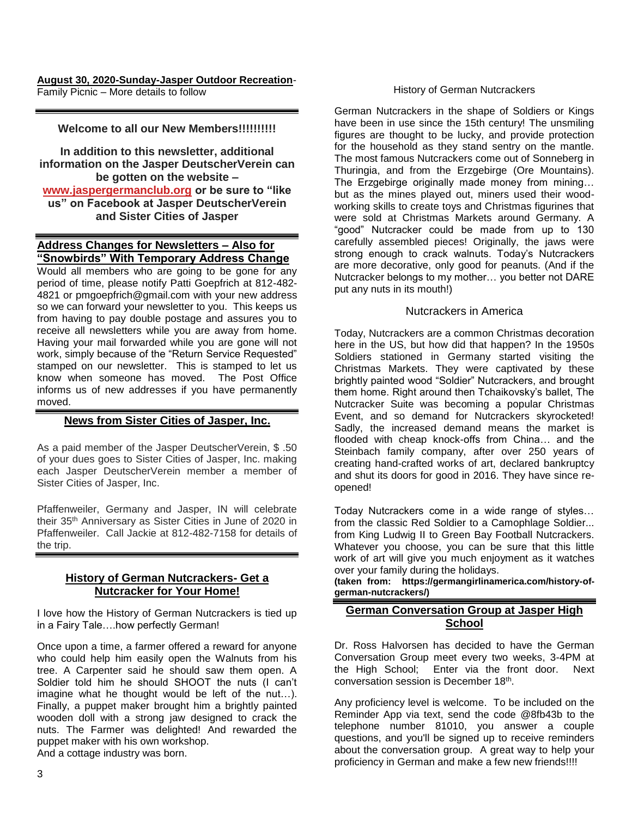#### **August 30, 2020-Sunday-Jasper Outdoor Recreation**-Family Picnic – More details to follow

# **Welcome to all our New Members!!!!!!!!!!**

**In addition to this newsletter, additional information on the Jasper DeutscherVerein can be gotten on the website – [www.jaspergermanclub.org](http://www.jaspergermanclub.org/) or be sure to "like us" on Facebook at Jasper DeutscherVerein and Sister Cities of Jasper**

# **Address Changes for Newsletters – Also for "Snowbirds" With Temporary Address Change**

Would all members who are going to be gone for any period of time, please notify Patti Goepfrich at 812-482- 4821 or pmgoepfrich@gmail.com with your new address so we can forward your newsletter to you. This keeps us from having to pay double postage and assures you to receive all newsletters while you are away from home. Having your mail forwarded while you are gone will not work, simply because of the "Return Service Requested" stamped on our newsletter. This is stamped to let us know when someone has moved. The Post Office informs us of new addresses if you have permanently moved.

# **News from Sister Cities of Jasper, Inc.**

As a paid member of the Jasper DeutscherVerein, \$ .50 of your dues goes to Sister Cities of Jasper, Inc. making each Jasper DeutscherVerein member a member of Sister Cities of Jasper, Inc.

Pfaffenweiler, Germany and Jasper, IN will celebrate their 35th Anniversary as Sister Cities in June of 2020 in Pfaffenweiler. Call Jackie at 812-482-7158 for details of the trip.

# **History of German Nutcrackers- Get a Nutcracker for Your Home!**

I love how the History of German Nutcrackers is tied up in a Fairy Tale….how perfectly German!

Once upon a time, a farmer offered a reward for anyone who could help him easily open the Walnuts from his tree. A Carpenter said he should saw them open. A Soldier told him he should SHOOT the nuts (I can't imagine what he thought would be left of the nut…). Finally, a puppet maker brought him a brightly painted wooden doll with a strong jaw designed to crack the nuts. The Farmer was delighted! And rewarded the puppet maker with his own workshop.

And a cottage industry was born.

#### History of German Nutcrackers

German Nutcrackers in the shape of Soldiers or Kings have been in use since the 15th century! The unsmiling figures are thought to be lucky, and provide protection for the household as they stand sentry on the mantle. The most famous Nutcrackers come out of Sonneberg in Thuringia, and from the Erzgebirge (Ore Mountains). The Erzgebirge originally made money from mining… but as the mines played out, miners used their woodworking skills to create toys and Christmas figurines that were sold at Christmas Markets around Germany. A "good" Nutcracker could be made from up to 130 carefully assembled pieces! Originally, the jaws were strong enough to crack walnuts. Today's Nutcrackers are more decorative, only good for peanuts. (And if the Nutcracker belongs to my mother… you better not DARE put any nuts in its mouth!)

#### Nutcrackers in America

Today, Nutcrackers are a common Christmas decoration here in the US, but how did that happen? In the 1950s Soldiers stationed in Germany started visiting the Christmas Markets. They were captivated by these brightly painted wood "Soldier" Nutcrackers, and brought them home. Right around then Tchaikovsky's ballet, The Nutcracker Suite was becoming a popular Christmas Event, and so demand for Nutcrackers skyrocketed! Sadly, the increased demand means the market is flooded with cheap knock-offs from China… and the Steinbach family company, after over 250 years of creating hand-crafted works of art, declared bankruptcy and shut its doors for good in 2016. They have since reopened!

Today Nutcrackers come in a wide range of styles… from the classic Red Soldier to a Camophlage Soldier... from King Ludwig II to Green Bay Football Nutcrackers. Whatever you choose, you can be sure that this little work of art will give you much enjoyment as it watches over your family during the holidays.

**(taken from: https://germangirlinamerica.com/history-ofgerman-nutcrackers/)**

# **German Conversation Group at Jasper High School**

Dr. Ross Halvorsen has decided to have the German Conversation Group meet every two weeks, 3-4PM at the High School; Enter via the front door. Next conversation session is December 18<sup>th</sup>.

Any proficiency level is welcome. To be included on the Reminder App via text, send the code @8fb43b to the telephone number 81010, you answer a couple questions, and you'll be signed up to receive reminders about the conversation group. A great way to help your proficiency in German and make a few new friends!!!!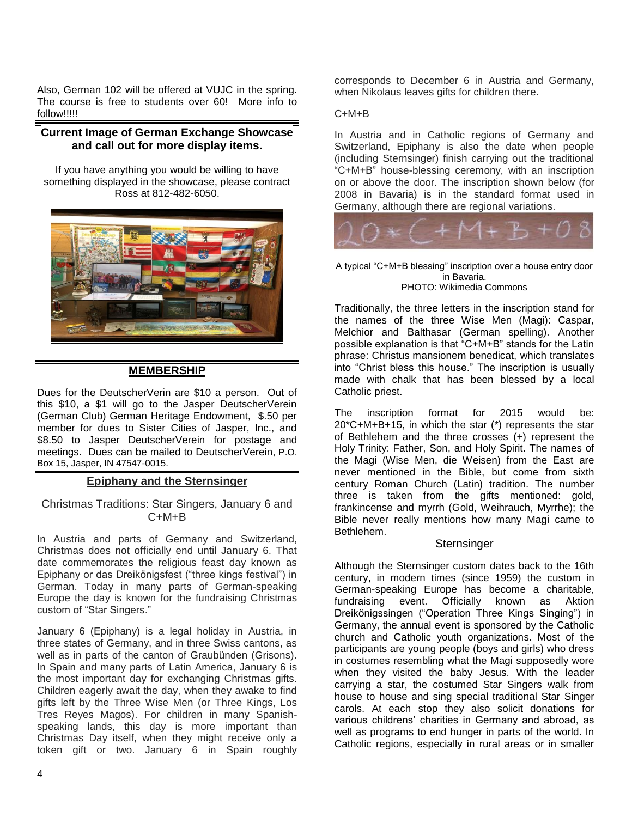Also, German 102 will be offered at VUJC in the spring. The course is free to students over 60! More info to follow!!!!!

# **Current Image of German Exchange Showcase and call out for more display items.**

If you have anything you would be willing to have something displayed in the showcase, please contract Ross at 812-482-6050.



# **MEMBERSHIP**

Dues for the DeutscherVerin are \$10 a person. Out of this \$10, a \$1 will go to the Jasper DeutscherVerein (German Club) German Heritage Endowment, \$.50 per member for dues to Sister Cities of Jasper, Inc., and \$8.50 to Jasper DeutscherVerein for postage and meetings. Dues can be mailed to DeutscherVerein, P.O. Box 15, Jasper, IN 47547-0015.

# **Epiphany and the Sternsinger**

# Christmas Traditions: Star Singers, January 6 and C+M+B

In Austria and parts of Germany and Switzerland, Christmas does not officially end until January 6. That date commemorates the religious feast day known as Epiphany or das Dreikönigsfest ("three kings festival") in German. Today in many parts of German-speaking Europe the day is known for the fundraising Christmas custom of "Star Singers."

January 6 (Epiphany) is a legal holiday in Austria, in three states of Germany, and in three Swiss cantons, as well as in parts of the canton of Graubünden (Grisons). In Spain and many parts of Latin America, January 6 is the most important day for exchanging Christmas gifts. Children eagerly await the day, when they awake to find gifts left by the Three Wise Men (or Three Kings, Los Tres Reyes Magos). For children in many Spanishspeaking lands, this day is more important than Christmas Day itself, when they might receive only a token gift or two. January 6 in Spain roughly

corresponds to December 6 in Austria and Germany, when Nikolaus leaves gifts for children there.

#### C+M+B

In Austria and in Catholic regions of Germany and Switzerland, Epiphany is also the date when people (including Sternsinger) finish carrying out the traditional "C+M+B" house-blessing ceremony, with an inscription on or above the door. The inscription shown below (for 2008 in Bavaria) is in the standard format used in Germany, although there are regional variations.



A typical "C+M+B blessing" inscription over a house entry door in Bavaria. PHOTO: Wikimedia Commons

Traditionally, the three letters in the inscription stand for the names of the three Wise Men (Magi): Caspar, Melchior and Balthasar (German spelling). Another possible explanation is that "C+M+B" stands for the Latin phrase: Christus mansionem benedicat, which translates into "Christ bless this house." The inscription is usually made with chalk that has been blessed by a local Catholic priest.

The inscription format for 2015 would be: 20\*C+M+B+15, in which the star (\*) represents the star of Bethlehem and the three crosses (+) represent the Holy Trinity: Father, Son, and Holy Spirit. The names of the Magi (Wise Men, die Weisen) from the East are never mentioned in the Bible, but come from sixth century Roman Church (Latin) tradition. The number three is taken from the gifts mentioned: gold, frankincense and myrrh (Gold, Weihrauch, Myrrhe); the Bible never really mentions how many Magi came to Bethlehem.

#### **Sternsinger**

Although the Sternsinger custom dates back to the 16th century, in modern times (since 1959) the custom in German-speaking Europe has become a charitable, fundraising event. Officially known as Aktion Dreikönigssingen ("Operation Three Kings Singing") in Germany, the annual event is sponsored by the Catholic church and Catholic youth organizations. Most of the participants are young people (boys and girls) who dress in costumes resembling what the Magi supposedly wore when they visited the baby Jesus. With the leader carrying a star, the costumed Star Singers walk from house to house and sing special traditional Star Singer carols. At each stop they also solicit donations for various childrens' charities in Germany and abroad, as well as programs to end hunger in parts of the world. In Catholic regions, especially in rural areas or in smaller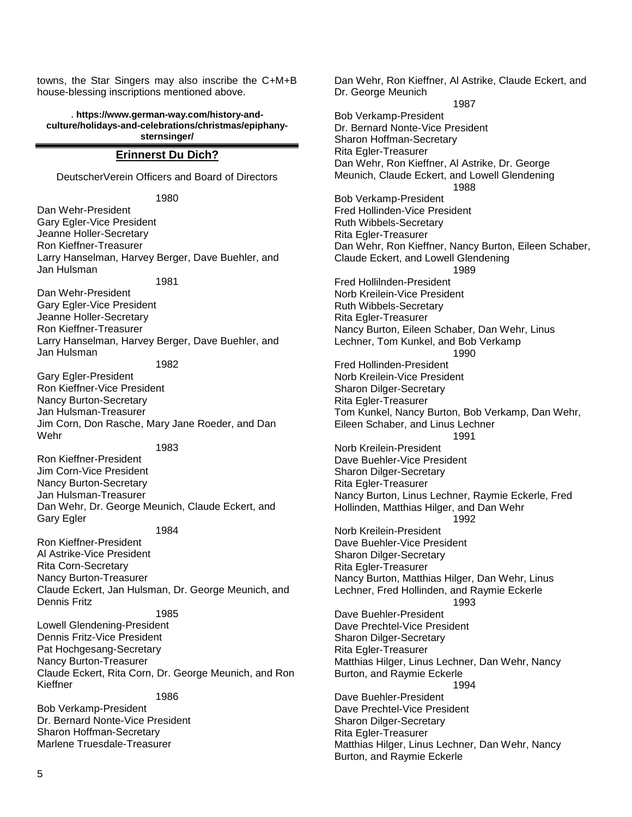towns, the Star Singers may also inscribe the C+M+B house-blessing inscriptions mentioned above.

. **https://www.german-way.com/history-andculture/holidays-and-celebrations/christmas/epiphanysternsinger/**

#### **Erinnerst Du Dich?**

DeutscherVerein Officers and Board of Directors

1980 Dan Wehr-President Gary Egler-Vice President Jeanne Holler-Secretary Ron Kieffner-Treasurer Larry Hanselman, Harvey Berger, Dave Buehler, and Jan Hulsman 1981 Dan Wehr-President Gary Egler-Vice President Jeanne Holler-Secretary Ron Kieffner-Treasurer Larry Hanselman, Harvey Berger, Dave Buehler, and Jan Hulsman 1982 Gary Egler-President Ron Kieffner-Vice President Nancy Burton-Secretary Jan Hulsman-Treasurer Jim Corn, Don Rasche, Mary Jane Roeder, and Dan Wehr 1983 Ron Kieffner-President Jim Corn-Vice President Nancy Burton-Secretary Jan Hulsman-Treasurer Dan Wehr, Dr. George Meunich, Claude Eckert, and Gary Egler 1984 Ron Kieffner-President Al Astrike-Vice President Rita Corn-Secretary Nancy Burton-Treasurer Claude Eckert, Jan Hulsman, Dr. George Meunich, and Dennis Fritz 1985

Lowell Glendening-President Dennis Fritz-Vice President Pat Hochgesang-Secretary Nancy Burton-Treasurer Claude Eckert, Rita Corn, Dr. George Meunich, and Ron Kieffner

1986 Bob Verkamp-President Dr. Bernard Nonte-Vice President Sharon Hoffman-Secretary Marlene Truesdale-Treasurer

Dan Wehr, Ron Kieffner, Al Astrike, Claude Eckert, and Dr. George Meunich 1987 Bob Verkamp-President Dr. Bernard Nonte-Vice President Sharon Hoffman-Secretary Rita Egler-Treasurer Dan Wehr, Ron Kieffner, Al Astrike, Dr. George Meunich, Claude Eckert, and Lowell Glendening 1988 Bob Verkamp-President Fred Hollinden-Vice President Ruth Wibbels-Secretary Rita Egler-Treasurer Dan Wehr, Ron Kieffner, Nancy Burton, Eileen Schaber, Claude Eckert, and Lowell Glendening 1989 Fred Hollilnden-President Norb Kreilein-Vice President Ruth Wibbels-Secretary Rita Egler-Treasurer Nancy Burton, Eileen Schaber, Dan Wehr, Linus Lechner, Tom Kunkel, and Bob Verkamp 1990 Fred Hollinden-President Norb Kreilein-Vice President Sharon Dilger-Secretary Rita Egler-Treasurer Tom Kunkel, Nancy Burton, Bob Verkamp, Dan Wehr, Eileen Schaber, and Linus Lechner 1991 Norb Kreilein-President Dave Buehler-Vice President Sharon Dilger-Secretary Rita Egler-Treasurer Nancy Burton, Linus Lechner, Raymie Eckerle, Fred Hollinden, Matthias Hilger, and Dan Wehr 1992 Norb Kreilein-President Dave Buehler-Vice President Sharon Dilger-Secretary Rita Egler-Treasurer Nancy Burton, Matthias Hilger, Dan Wehr, Linus Lechner, Fred Hollinden, and Raymie Eckerle 1993 Dave Buehler-President Dave Prechtel-Vice President Sharon Dilger-Secretary Rita Egler-Treasurer Matthias Hilger, Linus Lechner, Dan Wehr, Nancy Burton, and Raymie Eckerle 1994 Dave Buehler-President Dave Prechtel-Vice President Sharon Dilger-Secretary Rita Egler-Treasurer Matthias Hilger, Linus Lechner, Dan Wehr, Nancy Burton, and Raymie Eckerle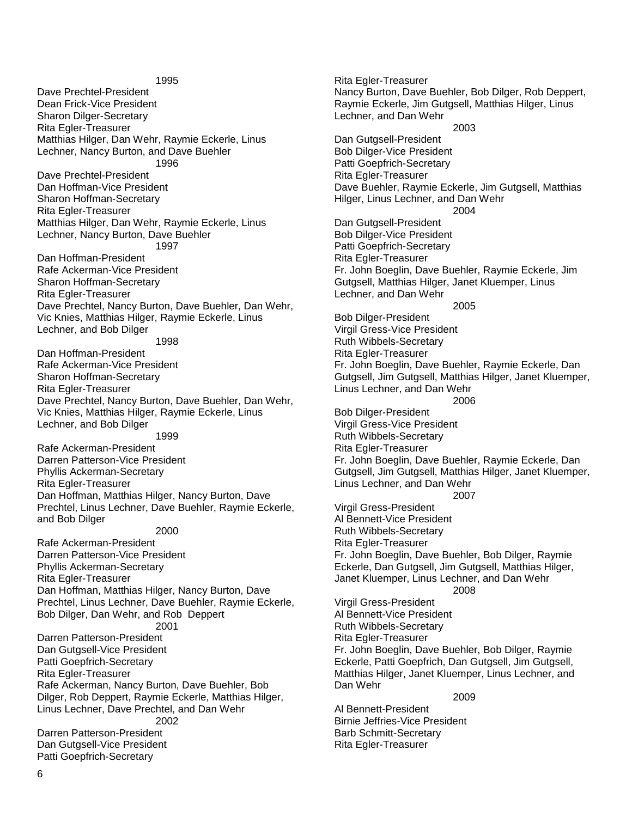1995 Dave Prechtel-President Dean Frick-Vice President Sharon Dilger-Secretary Rita Egler-Treasurer Matthias Hilger, Dan Wehr, Raymie Eckerle, Linus Lechner, Nancy Burton, and Dave Buehler 1996 Dave Prechtel-President Dan Hoffman-Vice President Sharon Hoffman-Secretary Rita Egler-Treasurer Matthias Hilger, Dan Wehr, Raymie Eckerle, Linus Lechner, Nancy Burton, Dave Buehler 1997 Dan Hoffman-President Rafe Ackerman-Vice President Sharon Hoffman-Secretary Rita Egler-Treasurer Dave Prechtel, Nancy Burton, Dave Buehler, Dan Wehr, Vic Knies, Matthias Hilger, Raymie Eckerle, Linus Lechner, and Bob Dilger 1998 Dan Hoffman-President Rafe Ackerman-Vice President Sharon Hoffman-Secretary Rita Egler-Treasurer Dave Prechtel, Nancy Burton, Dave Buehler, Dan Wehr, Vic Knies, Matthias Hilger, Raymie Eckerle, Linus Lechner, and Bob Dilger 1999 Rafe Ackerman-President Darren Patterson-Vice President Phyllis Ackerman-Secretary Rita Egler-Treasurer Dan Hoffman, Matthias Hilger, Nancy Burton, Dave Prechtel, Linus Lechner, Dave Buehler, Raymie Eckerle, and Bob Dilger 2000 Rafe Ackerman-President Darren Patterson-Vice President Phyllis Ackerman-Secretary Rita Egler-Treasurer Dan Hoffman, Matthias Hilger, Nancy Burton, Dave Prechtel, Linus Lechner, Dave Buehler, Raymie Eckerle, Bob Dilger, Dan Wehr, and Rob Deppert 2001 Darren Patterson-President Dan Gutgsell-Vice President Patti Goepfrich-Secretary Rita Egler-Treasurer Rafe Ackerman, Nancy Burton, Dave Buehler, Bob Dilger, Rob Deppert, Raymie Eckerle, Matthias Hilger, Linus Lechner, Dave Prechtel, and Dan Wehr 2002 Darren Patterson-President Dan Gutgsell-Vice President Patti Goepfrich-Secretary

Rita Egler-Treasurer Nancy Burton, Dave Buehler, Bob Dilger, Rob Deppert, Raymie Eckerle, Jim Gutgsell, Matthias Hilger, Linus Lechner, and Dan Wehr 2003 Dan Gutgsell-President Bob Dilger-Vice President Patti Goepfrich-Secretary Rita Egler-Treasurer Dave Buehler, Raymie Eckerle, Jim Gutgsell, Matthias Hilger, Linus Lechner, and Dan Wehr 2004 Dan Gutgsell-President Bob Dilger-Vice President Patti Goepfrich-Secretary Rita Egler-Treasurer Fr. John Boeglin, Dave Buehler, Raymie Eckerle, Jim Gutgsell, Matthias Hilger, Janet Kluemper, Linus Lechner, and Dan Wehr 2005 Bob Dilger-President Virgil Gress-Vice President Ruth Wibbels-Secretary Rita Egler-Treasurer Fr. John Boeglin, Dave Buehler, Raymie Eckerle, Dan Gutgsell, Jim Gutgsell, Matthias Hilger, Janet Kluemper, Linus Lechner, and Dan Wehr 2006 Bob Dilger-President Virgil Gress-Vice President Ruth Wibbels-Secretary Rita Egler-Treasurer Fr. John Boeglin, Dave Buehler, Raymie Eckerle, Dan Gutgsell, Jim Gutgsell, Matthias Hilger, Janet Kluemper, Linus Lechner, and Dan Wehr 2007 Virgil Gress-President Al Bennett-Vice President Ruth Wibbels-Secretary Rita Egler-Treasurer Fr. John Boeglin, Dave Buehler, Bob Dilger, Raymie Eckerle, Dan Gutgsell, Jim Gutgsell, Matthias Hilger, Janet Kluemper, Linus Lechner, and Dan Wehr 2008 Virgil Gress-President Al Bennett-Vice President Ruth Wibbels-Secretary Rita Egler-Treasurer Fr. John Boeglin, Dave Buehler, Bob Dilger, Raymie Eckerle, Patti Goepfrich, Dan Gutgsell, Jim Gutgsell, Matthias Hilger, Janet Kluemper, Linus Lechner, and Dan Wehr 2009 Al Bennett-President Birnie Jeffries-Vice President Barb Schmitt-Secretary

Rita Egler-Treasurer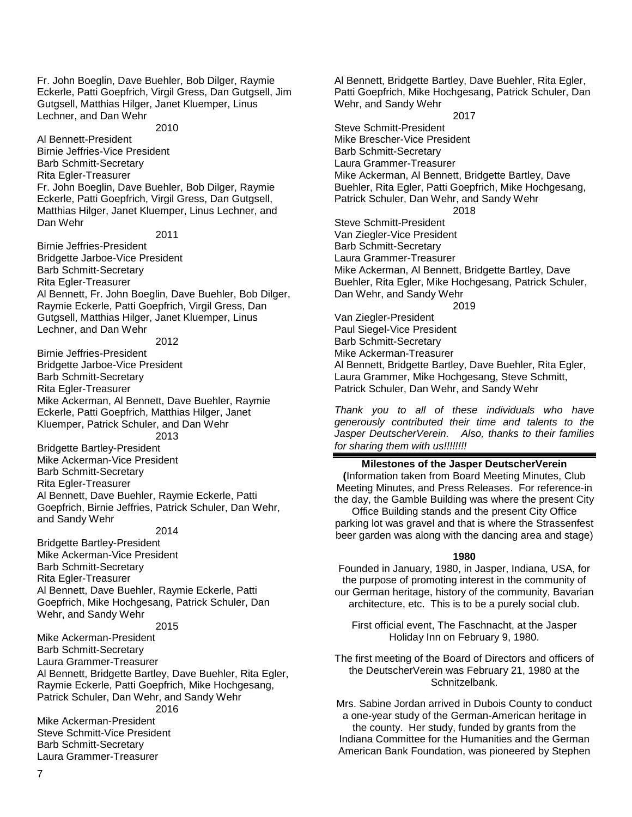Fr. John Boeglin, Dave Buehler, Bob Dilger, Raymie Eckerle, Patti Goepfrich, Virgil Gress, Dan Gutgsell, Jim Gutgsell, Matthias Hilger, Janet Kluemper, Linus Lechner, and Dan Wehr

2010

Al Bennett-President Birnie Jeffries-Vice President Barb Schmitt-Secretary Rita Egler-Treasurer Fr. John Boeglin, Dave Buehler, Bob Dilger, Raymie Eckerle, Patti Goepfrich, Virgil Gress, Dan Gutgsell, Matthias Hilger, Janet Kluemper, Linus Lechner, and Dan Wehr

2011

Birnie Jeffries-President Bridgette Jarboe-Vice President Barb Schmitt-Secretary Rita Egler-Treasurer Al Bennett, Fr. John Boeglin, Dave Buehler, Bob Dilger, Raymie Eckerle, Patti Goepfrich, Virgil Gress, Dan Gutgsell, Matthias Hilger, Janet Kluemper, Linus Lechner, and Dan Wehr

2012

Birnie Jeffries-President Bridgette Jarboe-Vice President Barb Schmitt-Secretary Rita Egler-Treasurer Mike Ackerman, Al Bennett, Dave Buehler, Raymie Eckerle, Patti Goepfrich, Matthias Hilger, Janet Kluemper, Patrick Schuler, and Dan Wehr

2013

Bridgette Bartley-President Mike Ackerman-Vice President Barb Schmitt-Secretary Rita Egler-Treasurer Al Bennett, Dave Buehler, Raymie Eckerle, Patti Goepfrich, Birnie Jeffries, Patrick Schuler, Dan Wehr, and Sandy Wehr

#### 2014

Bridgette Bartley-President Mike Ackerman-Vice President Barb Schmitt-Secretary Rita Egler-Treasurer Al Bennett, Dave Buehler, Raymie Eckerle, Patti Goepfrich, Mike Hochgesang, Patrick Schuler, Dan Wehr, and Sandy Wehr

#### 2015

Mike Ackerman-President Barb Schmitt-Secretary Laura Grammer-Treasurer Al Bennett, Bridgette Bartley, Dave Buehler, Rita Egler, Raymie Eckerle, Patti Goepfrich, Mike Hochgesang, Patrick Schuler, Dan Wehr, and Sandy Wehr 2016

Mike Ackerman-President Steve Schmitt-Vice President Barb Schmitt-Secretary Laura Grammer-Treasurer

Al Bennett, Bridgette Bartley, Dave Buehler, Rita Egler, Patti Goepfrich, Mike Hochgesang, Patrick Schuler, Dan Wehr, and Sandy Wehr

2017

Steve Schmitt-President Mike Brescher-Vice President Barb Schmitt-Secretary Laura Grammer-Treasurer Mike Ackerman, Al Bennett, Bridgette Bartley, Dave Buehler, Rita Egler, Patti Goepfrich, Mike Hochgesang, Patrick Schuler, Dan Wehr, and Sandy Wehr 2018 Steve Schmitt-President Van Ziegler-Vice President Barb Schmitt-Secretary Laura Grammer-Treasurer Mike Ackerman, Al Bennett, Bridgette Bartley, Dave Buehler, Rita Egler, Mike Hochgesang, Patrick Schuler, Dan Wehr, and Sandy Wehr

2019

Van Ziegler-President Paul Siegel-Vice President Barb Schmitt-Secretary Mike Ackerman-Treasurer Al Bennett, Bridgette Bartley, Dave Buehler, Rita Egler, Laura Grammer, Mike Hochgesang, Steve Schmitt, Patrick Schuler, Dan Wehr, and Sandy Wehr

*Thank you to all of these individuals who have generously contributed their time and talents to the Jasper DeutscherVerein. Also, thanks to their families for sharing them with us!!!!!!!!*

#### **Milestones of the Jasper DeutscherVerein**

**(**Information taken from Board Meeting Minutes, Club Meeting Minutes, and Press Releases. For reference-in the day, the Gamble Building was where the present City

Office Building stands and the present City Office parking lot was gravel and that is where the Strassenfest beer garden was along with the dancing area and stage)

#### **1980**

Founded in January, 1980, in Jasper, Indiana, USA, for the purpose of promoting interest in the community of our German heritage, history of the community, Bavarian architecture, etc. This is to be a purely social club.

First official event, The Faschnacht, at the Jasper Holiday Inn on February 9, 1980.

The first meeting of the Board of Directors and officers of the DeutscherVerein was February 21, 1980 at the Schnitzelbank.

Mrs. Sabine Jordan arrived in Dubois County to conduct a one-year study of the German-American heritage in the county. Her study, funded by grants from the Indiana Committee for the Humanities and the German American Bank Foundation, was pioneered by Stephen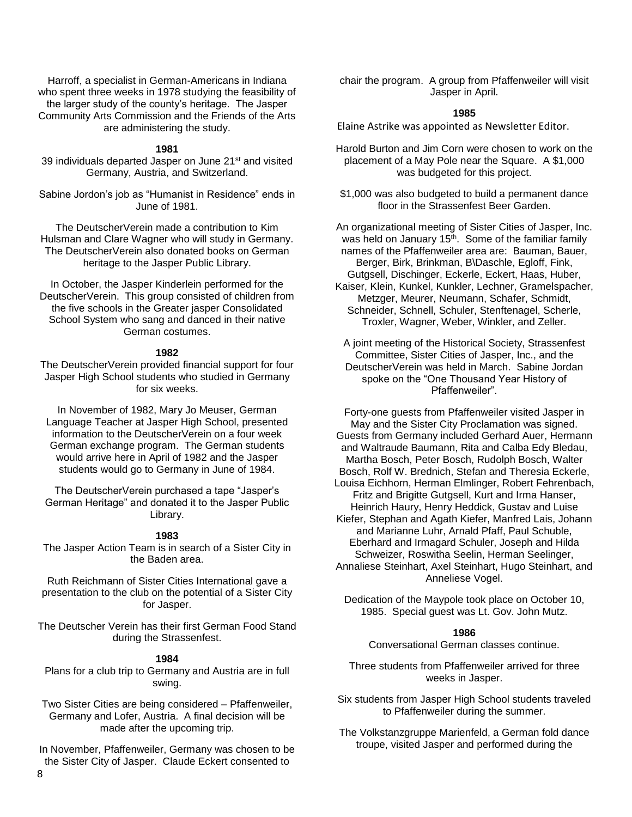Harroff, a specialist in German-Americans in Indiana who spent three weeks in 1978 studying the feasibility of the larger study of the county's heritage. The Jasper Community Arts Commission and the Friends of the Arts are administering the study.

#### **1981**

39 individuals departed Jasper on June 21st and visited Germany, Austria, and Switzerland.

Sabine Jordon's job as "Humanist in Residence" ends in June of 1981.

The DeutscherVerein made a contribution to Kim Hulsman and Clare Wagner who will study in Germany. The DeutscherVerein also donated books on German heritage to the Jasper Public Library.

In October, the Jasper Kinderlein performed for the DeutscherVerein. This group consisted of children from the five schools in the Greater jasper Consolidated School System who sang and danced in their native German costumes.

#### **1982**

The DeutscherVerein provided financial support for four Jasper High School students who studied in Germany for six weeks.

In November of 1982, Mary Jo Meuser, German Language Teacher at Jasper High School, presented information to the DeutscherVerein on a four week German exchange program. The German students would arrive here in April of 1982 and the Jasper students would go to Germany in June of 1984.

The DeutscherVerein purchased a tape "Jasper's German Heritage" and donated it to the Jasper Public Library.

#### **1983**

The Jasper Action Team is in search of a Sister City in the Baden area.

Ruth Reichmann of Sister Cities International gave a presentation to the club on the potential of a Sister City for Jasper.

The Deutscher Verein has their first German Food Stand during the Strassenfest.

#### **1984**

Plans for a club trip to Germany and Austria are in full swing.

Two Sister Cities are being considered – Pfaffenweiler, Germany and Lofer, Austria. A final decision will be made after the upcoming trip.

In November, Pfaffenweiler, Germany was chosen to be the Sister City of Jasper. Claude Eckert consented to

chair the program. A group from Pfaffenweiler will visit Jasper in April.

#### **1985**

Elaine Astrike was appointed as Newsletter Editor.

Harold Burton and Jim Corn were chosen to work on the placement of a May Pole near the Square. A \$1,000 was budgeted for this project.

\$1,000 was also budgeted to build a permanent dance floor in the Strassenfest Beer Garden.

An organizational meeting of Sister Cities of Jasper, Inc. was held on January 15<sup>th</sup>. Some of the familiar family names of the Pfaffenweiler area are: Bauman, Bauer, Berger, Birk, Brinkman, B\Daschle, Egloff, Fink, Gutgsell, Dischinger, Eckerle, Eckert, Haas, Huber,

Kaiser, Klein, Kunkel, Kunkler, Lechner, Gramelspacher, Metzger, Meurer, Neumann, Schafer, Schmidt, Schneider, Schnell, Schuler, Stenftenagel, Scherle, Troxler, Wagner, Weber, Winkler, and Zeller.

A joint meeting of the Historical Society, Strassenfest Committee, Sister Cities of Jasper, Inc., and the DeutscherVerein was held in March. Sabine Jordan spoke on the "One Thousand Year History of Pfaffenweiler".

Forty-one guests from Pfaffenweiler visited Jasper in May and the Sister City Proclamation was signed. Guests from Germany included Gerhard Auer, Hermann and Waltraude Baumann, Rita and Calba Edy Bledau, Martha Bosch, Peter Bosch, Rudolph Bosch, Walter Bosch, Rolf W. Brednich, Stefan and Theresia Eckerle, Louisa Eichhorn, Herman Elmlinger, Robert Fehrenbach, Fritz and Brigitte Gutgsell, Kurt and Irma Hanser, Heinrich Haury, Henry Heddick, Gustav and Luise Kiefer, Stephan and Agath Kiefer, Manfred Lais, Johann and Marianne Luhr, Arnald Pfaff, Paul Schuble, Eberhard and Irmagard Schuler, Joseph and Hilda Schweizer, Roswitha Seelin, Herman Seelinger, Annaliese Steinhart, Axel Steinhart, Hugo Steinhart, and

Anneliese Vogel.

Dedication of the Maypole took place on October 10, 1985. Special guest was Lt. Gov. John Mutz.

#### **1986**

Conversational German classes continue.

Three students from Pfaffenweiler arrived for three weeks in Jasper.

Six students from Jasper High School students traveled to Pfaffenweiler during the summer.

The Volkstanzgruppe Marienfeld, a German fold dance troupe, visited Jasper and performed during the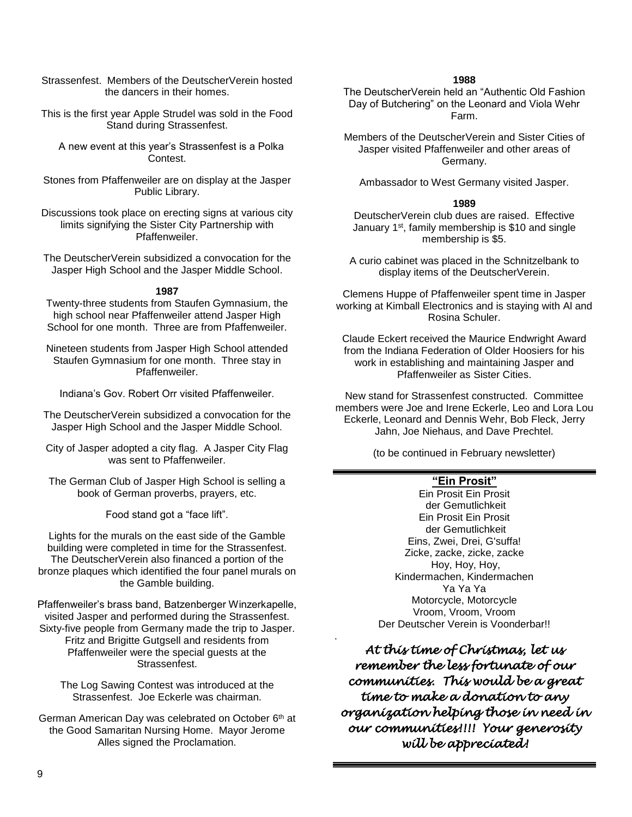Strassenfest. Members of the DeutscherVerein hosted the dancers in their homes.

This is the first year Apple Strudel was sold in the Food Stand during Strassenfest.

 A new event at this year's Strassenfest is a Polka Contest.

Stones from Pfaffenweiler are on display at the Jasper Public Library.

Discussions took place on erecting signs at various city limits signifying the Sister City Partnership with Pfaffenweiler.

The DeutscherVerein subsidized a convocation for the Jasper High School and the Jasper Middle School.

#### **1987**

Twenty-three students from Staufen Gymnasium, the high school near Pfaffenweiler attend Jasper High School for one month. Three are from Pfaffenweiler.

Nineteen students from Jasper High School attended Staufen Gymnasium for one month. Three stay in Pfaffenweiler.

Indiana's Gov. Robert Orr visited Pfaffenweiler.

The DeutscherVerein subsidized a convocation for the Jasper High School and the Jasper Middle School.

City of Jasper adopted a city flag. A Jasper City Flag was sent to Pfaffenweiler.

The German Club of Jasper High School is selling a book of German proverbs, prayers, etc.

Food stand got a "face lift".

Lights for the murals on the east side of the Gamble building were completed in time for the Strassenfest. The DeutscherVerein also financed a portion of the bronze plaques which identified the four panel murals on the Gamble building.

Pfaffenweiler's brass band, Batzenberger Winzerkapelle, visited Jasper and performed during the Strassenfest. Sixty-five people from Germany made the trip to Jasper. Fritz and Brigitte Gutgsell and residents from Pfaffenweiler were the special guests at the Strassenfest.

The Log Sawing Contest was introduced at the Strassenfest. Joe Eckerle was chairman.

German American Day was celebrated on October 6<sup>th</sup> at the Good Samaritan Nursing Home. Mayor Jerome Alles signed the Proclamation.

#### **1988**

The DeutscherVerein held an "Authentic Old Fashion Day of Butchering" on the Leonard and Viola Wehr Farm.

Members of the DeutscherVerein and Sister Cities of Jasper visited Pfaffenweiler and other areas of Germany.

Ambassador to West Germany visited Jasper.

#### **1989**

DeutscherVerein club dues are raised. Effective January 1<sup>st</sup>, family membership is \$10 and single membership is \$5.

A curio cabinet was placed in the Schnitzelbank to display items of the DeutscherVerein.

Clemens Huppe of Pfaffenweiler spent time in Jasper working at Kimball Electronics and is staying with Al and Rosina Schuler.

Claude Eckert received the Maurice Endwright Award from the Indiana Federation of Older Hoosiers for his work in establishing and maintaining Jasper and Pfaffenweiler as Sister Cities.

New stand for Strassenfest constructed. Committee members were Joe and Irene Eckerle, Leo and Lora Lou Eckerle, Leonard and Dennis Wehr, Bob Fleck, Jerry Jahn, Joe Niehaus, and Dave Prechtel.

(to be continued in February newsletter)

# **"Ein Prosit"**

Ein Prosit Ein Prosit der Gemutlichkeit Ein Prosit Ein Prosit der Gemutlichkeit Eins, Zwei, Drei, G'suffa! Zicke, zacke, zicke, zacke Hoy, Hoy, Hoy, Kindermachen, Kindermachen Ya Ya Ya Motorcycle, Motorcycle Vroom, Vroom, Vroom Der Deutscher Verein is Voonderbar!!

*At this time of Christmas, let us remember the less fortunate of our communities. This would be a great time to make a donation to any organization helping those in need in our communities!!!! Your generosity will be appreciated!* 

.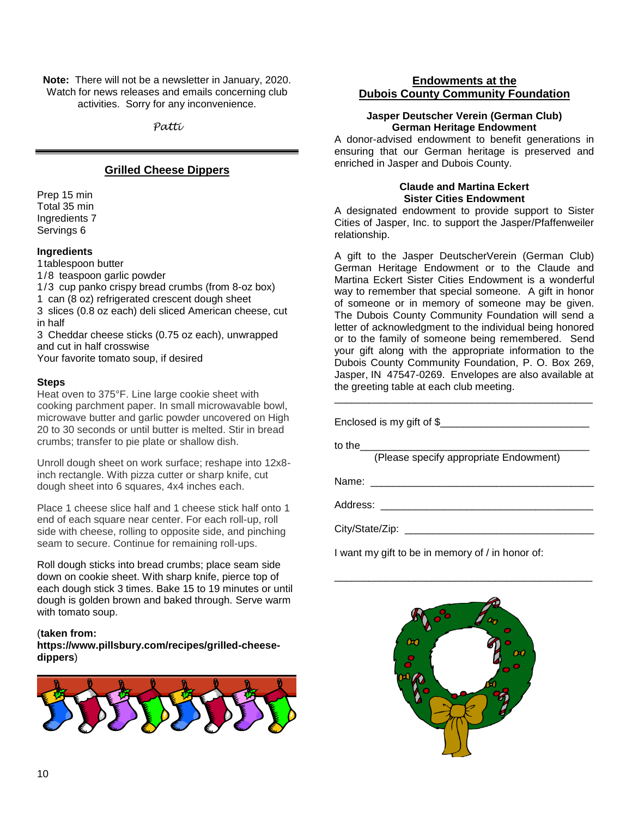**Note:** There will not be a newsletter in January, 2020. Watch for news releases and emails concerning club activities. Sorry for any inconvenience.

*Patti*

# **Grilled Cheese Dippers**

Prep 15 min Total 35 min Ingredients 7 Servings 6

#### **Ingredients**

1tablespoon butter

1/8 teaspoon garlic powder

1/3 cup panko crispy bread crumbs (from 8-oz box)

1 can (8 oz) refrigerated crescent dough sheet

3 slices (0.8 oz each) deli sliced American cheese, cut in half

3 Cheddar cheese sticks (0.75 oz each), unwrapped and cut in half crosswise

Your favorite tomato soup, if desired

#### **Steps**

Heat oven to 375°F. Line large cookie sheet with cooking parchment paper. In small microwavable bowl, microwave butter and garlic powder uncovered on High 20 to 30 seconds or until butter is melted. Stir in bread crumbs; transfer to pie plate or shallow dish.

Unroll dough sheet on work surface; reshape into 12x8 inch rectangle. With pizza cutter or sharp knife, cut dough sheet into 6 squares, 4x4 inches each.

Place 1 cheese slice half and 1 cheese stick half onto 1 end of each square near center. For each roll-up, roll side with cheese, rolling to opposite side, and pinching seam to secure. Continue for remaining roll-ups.

Roll dough sticks into bread crumbs; place seam side down on cookie sheet. With sharp knife, pierce top of each dough stick 3 times. Bake 15 to 19 minutes or until dough is golden brown and baked through. Serve warm with tomato soup.

#### (**taken from:**

**[https://www.pillsbury.com/recipes/grilled-cheese](https://www.pillsbury.com/recipes/grilled-cheese-dippers)[dippers](https://www.pillsbury.com/recipes/grilled-cheese-dippers)**)



# **Endowments at the Dubois County Community Foundation**

#### **Jasper Deutscher Verein (German Club) German Heritage Endowment**

A donor-advised endowment to benefit generations in ensuring that our German heritage is preserved and enriched in Jasper and Dubois County.

#### **Claude and Martina Eckert Sister Cities Endowment**

A designated endowment to provide support to Sister Cities of Jasper, Inc. to support the Jasper/Pfaffenweiler relationship.

A gift to the Jasper DeutscherVerein (German Club) German Heritage Endowment or to the Claude and Martina Eckert Sister Cities Endowment is a wonderful way to remember that special someone. A gift in honor of someone or in memory of someone may be given. The Dubois County Community Foundation will send a letter of acknowledgment to the individual being honored or to the family of someone being remembered. Send your gift along with the appropriate information to the Dubois County Community Foundation, P. O. Box 269, Jasper, IN 47547-0269. Envelopes are also available at the greeting table at each club meeting.

Enclosed is my gift of \$ to the (Please specify appropriate Endowment) Name: \_\_\_\_\_\_\_\_\_\_\_\_\_\_\_\_\_\_\_\_\_\_\_\_\_\_\_\_\_\_\_\_\_\_\_\_\_\_\_ Address: \_\_\_\_\_\_\_\_\_\_\_\_\_\_\_\_\_\_\_\_\_\_\_\_\_\_\_\_\_\_\_\_\_\_\_\_\_ City/State/Zip:

\_\_\_\_\_\_\_\_\_\_\_\_\_\_\_\_\_\_\_\_\_\_\_\_\_\_\_\_\_\_\_\_\_\_\_\_\_\_\_\_\_\_\_\_\_

I want my gift to be in memory of / in honor of:

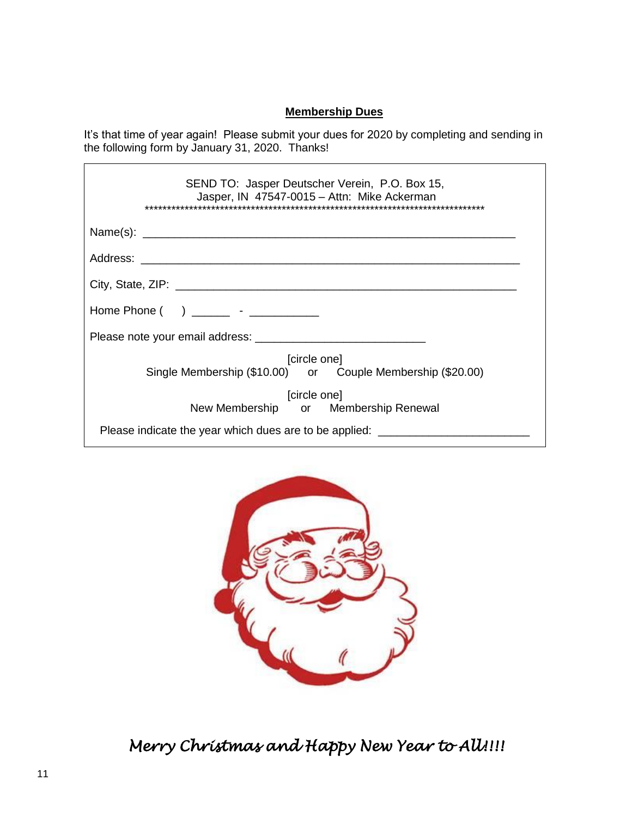# **Membership Dues**

It's that time of year again! Please submit your dues for 2020 by completing and sending in the following form by January 31, 2020. Thanks!

| SEND TO: Jasper Deutscher Verein, P.O. Box 15,<br>Jasper, IN 47547-0015 - Attn: Mike Ackerman |
|-----------------------------------------------------------------------------------------------|
|                                                                                               |
|                                                                                               |
|                                                                                               |
|                                                                                               |
|                                                                                               |
| [circle one]<br>Single Membership (\$10.00) or Couple Membership (\$20.00)                    |
| [circle one]<br>New Membership or Membership Renewal                                          |
| Please indicate the year which dues are to be applied: ___________                            |



*Merry Christmas and Happy New Year to All!!!!* 

 $\overline{r}$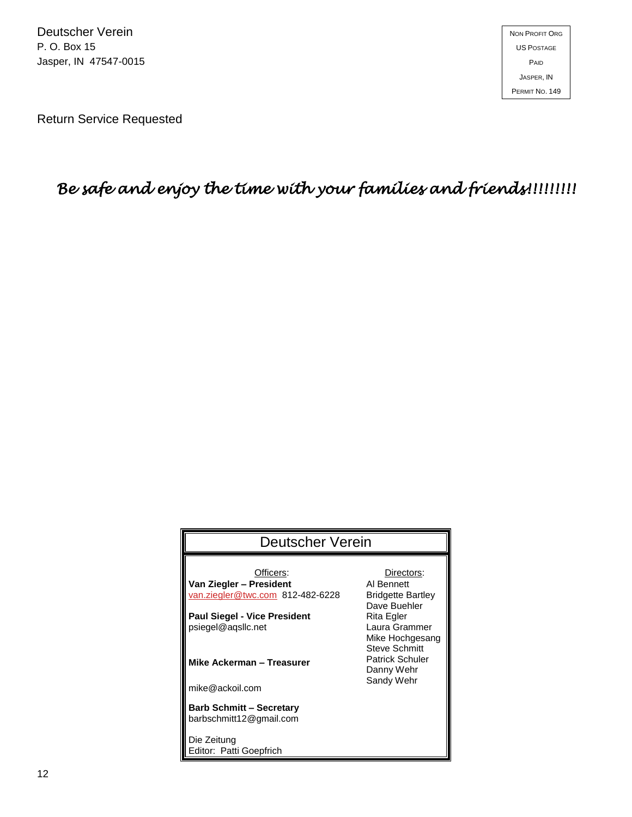Return Service Requested

# *Be safe and enjoy the time with your families and friends!!!!!!!!!*

| Deutscher Verein                                           |                                                          |
|------------------------------------------------------------|----------------------------------------------------------|
|                                                            |                                                          |
| Officers:                                                  | Directors:                                               |
| Van Ziegler – President                                    | Al Bennett                                               |
| van.ziegler@twc.com 812-482-6228                           | <b>Bridgette Bartley</b><br>Dave Buehler                 |
| <b>Paul Siegel - Vice President</b>                        | Rita Egler                                               |
| psiegel@agsllc.net                                         | Laura Grammer<br>Mike Hochgesang<br><b>Steve Schmitt</b> |
| Mike Ackerman - Treasurer                                  | <b>Patrick Schuler</b><br>Danny Wehr                     |
| mike@ackoil.com                                            | Sandy Wehr                                               |
| <b>Barb Schmitt - Secretary</b><br>barbschmitt12@gmail.com |                                                          |
| Die Zeitung                                                |                                                          |
| Editor: Patti Goepfrich                                    |                                                          |